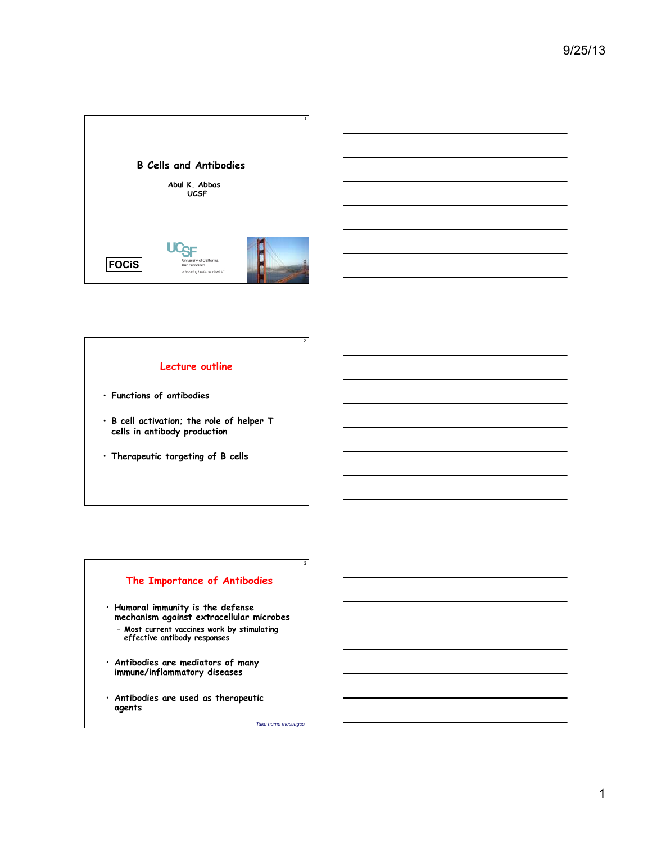



## **Lecture outline**

- **Functions of antibodies**
- **B cell activation; the role of helper T cells in antibody production**
- **Therapeutic targeting of B cells**

# **The Importance of Antibodies**

- **Humoral immunity is the defense mechanism against extracellular microbes** 
	- **Most current vaccines work by stimulating effective antibody responses**
- **Antibodies are mediators of many immune/inflammatory diseases**
- **Antibodies are used as therapeutic agents**

Take home messages

2

3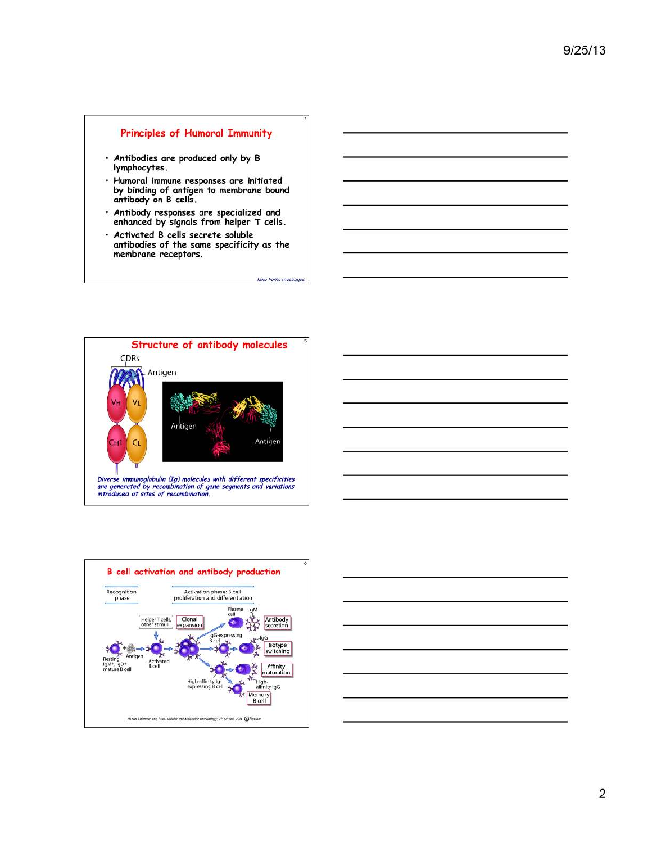### **Principles of Humoral Immunity**

- · Antibodies are produced only by B<br>lymphocytes.
- Humoral immune responses are initiated<br>by binding of antigen to membrane bound<br>antibody on B cells.
- Antibody responses are specialized and<br>enhanced by signals from helper T cells.
- Activated B cells secrete soluble antibodies of the same specificity as the<br>membrane receptors.

Take home messages





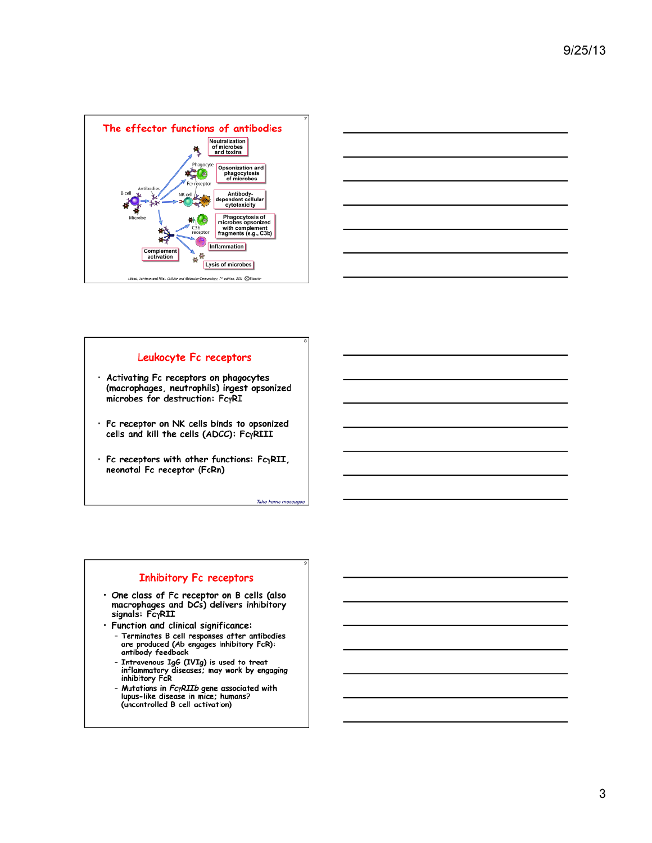



### Leukocyte Fc receptors

- · Activating Fc receptors on phagocytes (macrophages, neutrophils) ingest opsonized microbes for destruction: FcyRI
- · Fc receptor on NK cells binds to opsonized cells and kill the cells (ADCC): FcyRIII
- · Fc receptors with other functions: FcyRII, neonatal Fc receptor (FcRn)

Take home messages

### **Inhibitory Fc receptors**

- · One class of Fc receptor on B cells (also macrophages and DCs) delivers inhibitory<br>signals: FcyRII
- · Function and clinical significance:
	- Terminates B cell responses after antibodies<br>- Terminates B cell responses after antibodies<br>are produced (Ab engages inhibitory FcR):<br>antibody feedback
	- Intravenous IgG (IVIg) is used to treat inflammatory diseases; may work by engaging<br>inhibitory FcR
	- Mutations in *FcyRIIb* gene associated with<br>lupus-like disease in mice; humans?<br>(uncontrolled B cell activation)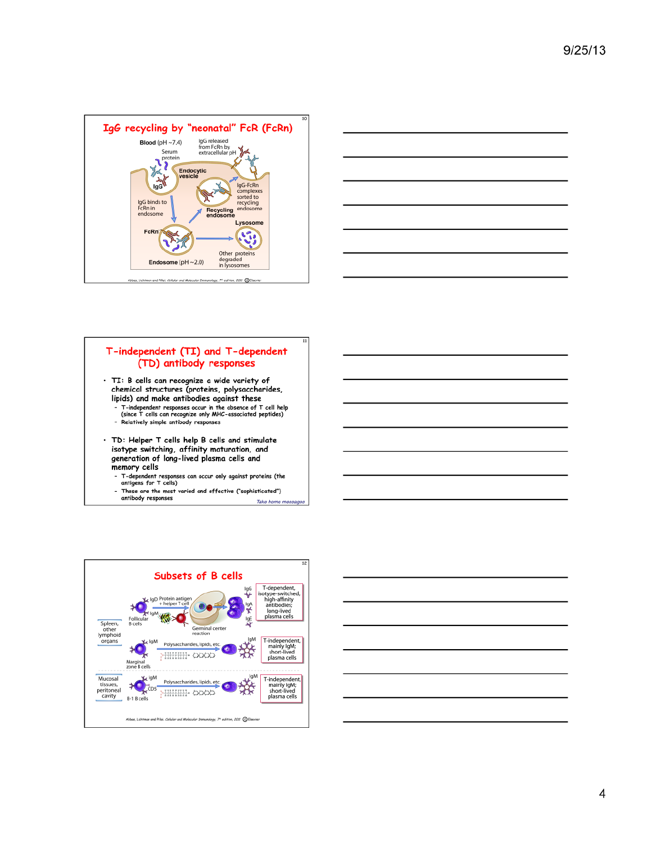



# T-independent (TI) and T-dependent (TD) antibody responses

- · TI: B cells can recognize a wide variety of chemical structures (proteins, polysaccharides, lipids) and make antibodies against these
	- T-independent responses occur in the absence of T cell help<br>(since T cells can recognize only MHC-associated peptides)<br>- Relatively simple antibody responses
- · TD: Helper T cells help B cells and stimulate isotype switching, affinity maturation, and generation of long-lived plasma cells and memory cells
	- T-dependent responses can occur only against proteins (the<br>antigens for T cells)
	- These are the most varied and effective ("sophisticated")<br>antibody responses Take home mess



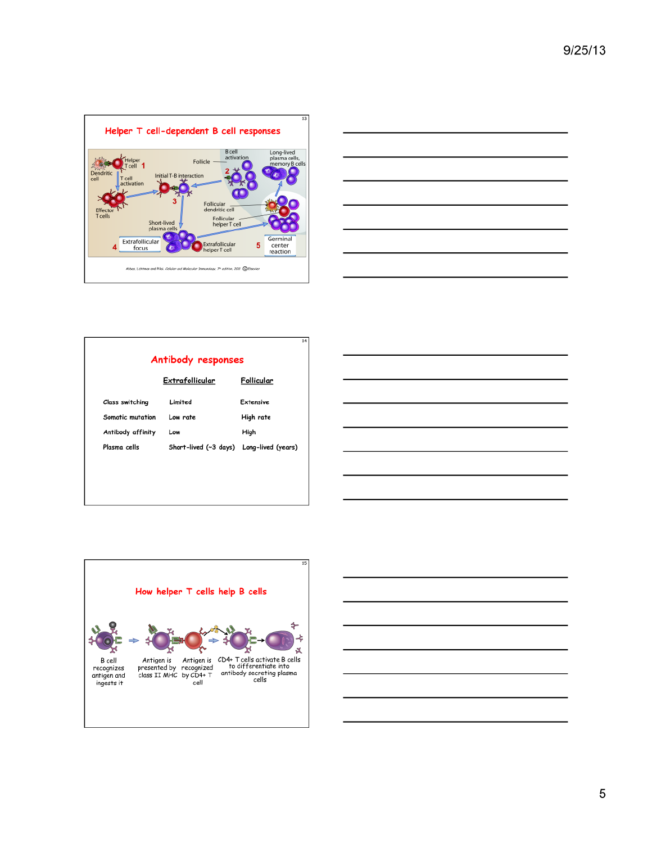



### Antibody responses Extrafollicular Follicular

| <b>Class switching</b> | Limited                                  | <b>Extensive</b> |
|------------------------|------------------------------------------|------------------|
| Somatic mutation       | Low rate                                 | High rate        |
| Antibody affinity      | Low                                      | High             |
| Plasma cells           | Short-lived (~3 days) Long-lived (years) |                  |





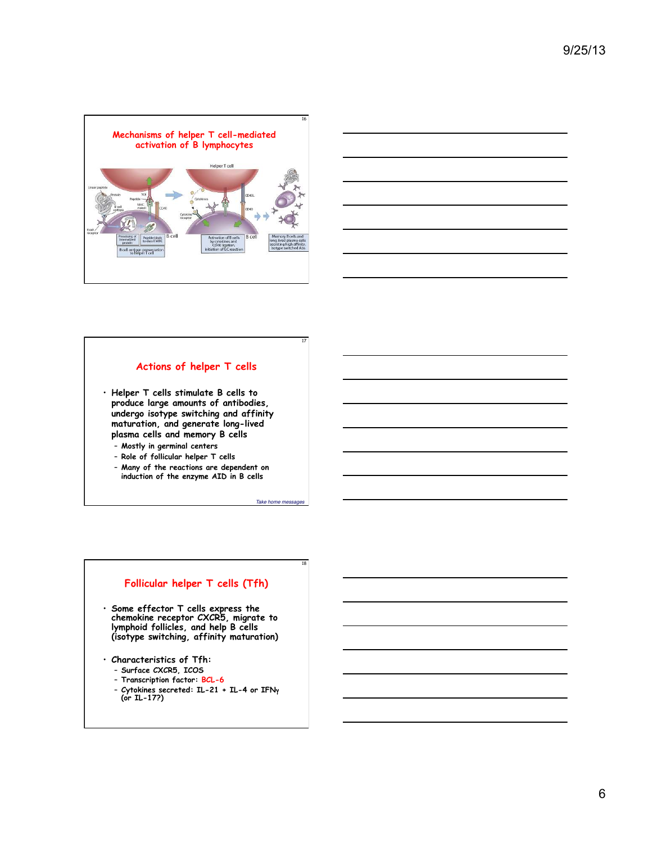



#### **Actions of helper T cells**

17

Take home mess

18

- **Helper T cells stimulate B cells to produce large amounts of antibodies, undergo isotype switching and affinity maturation, and generate long-lived plasma cells and memory B cells** 
	- **Mostly in germinal centers**
	- **Role of follicular helper T cells**
	- **Many of the reactions are dependent on induction of the enzyme AID in B cells**

### **Follicular helper T cells (Tfh)**

- **Some effector T cells express the chemokine receptor CXCR5, migrate to lymphoid follicles, and help B cells (isotype switching, affinity maturation)**
- **Characteristics of Tfh:** 
	- **Surface CXCR5, ICOS**
	- **Transcription factor: BCL-6**
	- **Cytokines secreted: IL-21 + IL-4 or IFN**! **(or IL-17?)**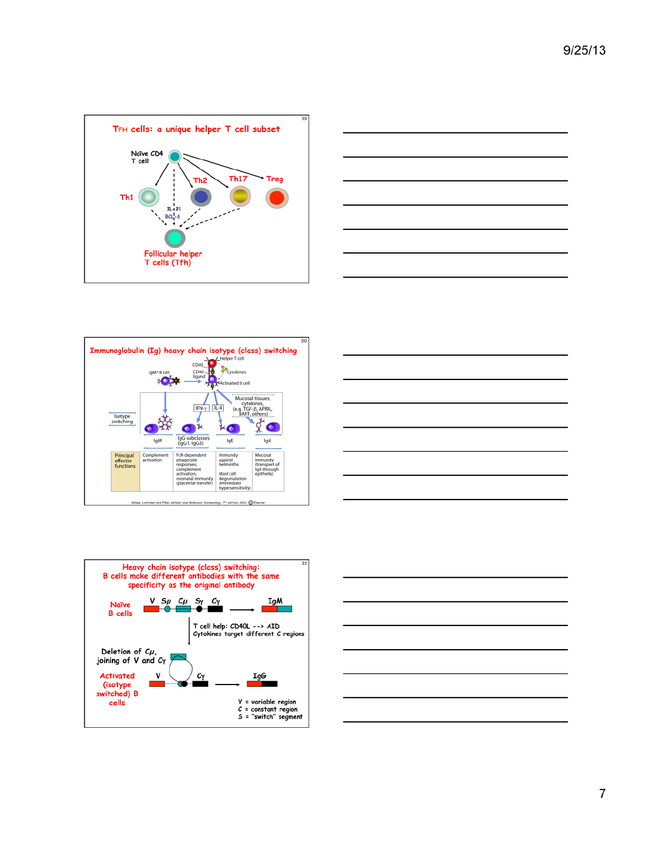









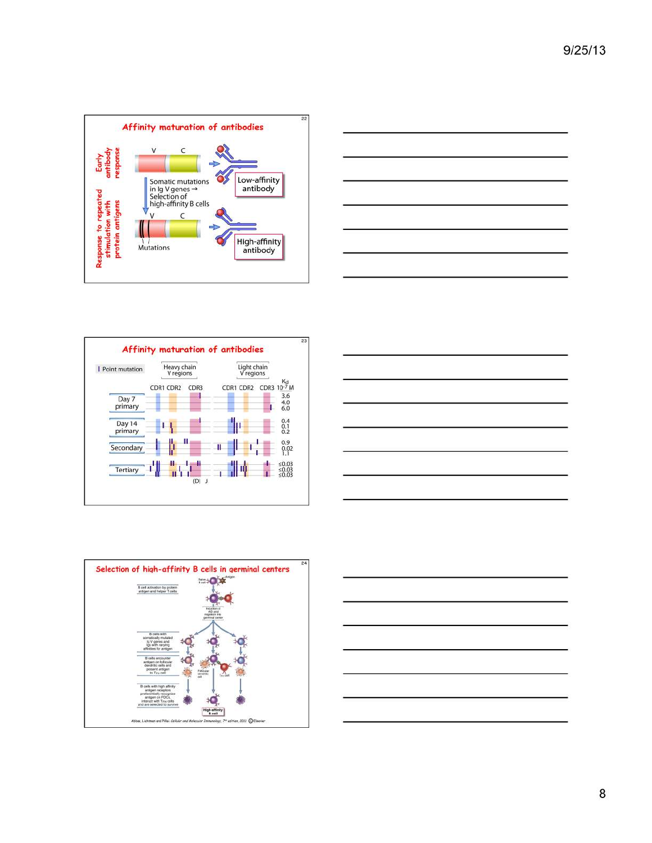









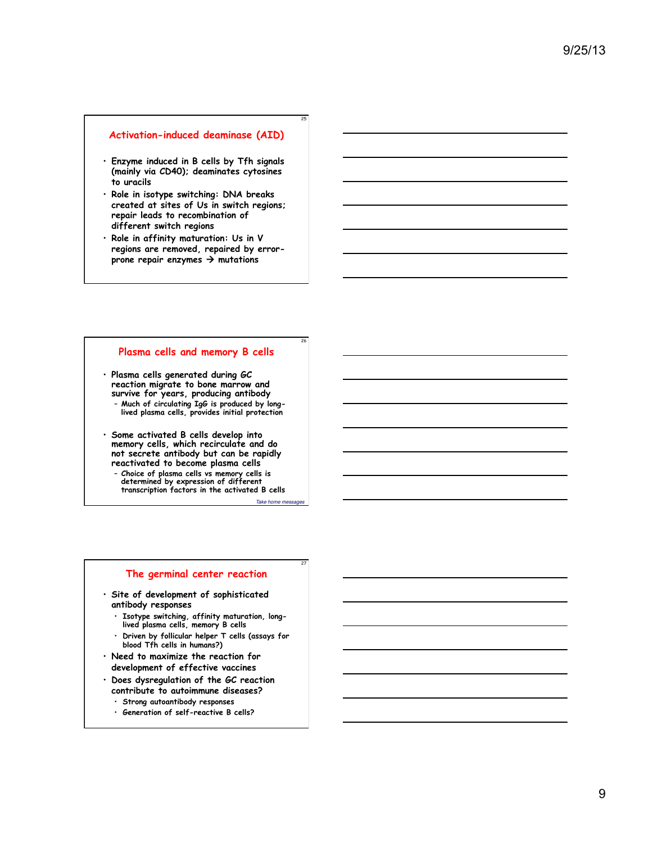### **Activation-induced deaminase (AID)**

- **Enzyme induced in B cells by Tfh signals (mainly via CD40); deaminates cytosines to uracils**
- **Role in isotype switching: DNA breaks created at sites of Us in switch regions; repair leads to recombination of different switch regions**
- **Role in affinity maturation: Us in V regions are removed, repaired by errorprone repair enzymes** ! **mutations**

# **Plasma cells and memory B cells**

• **Plasma cells generated during GC reaction migrate to bone marrow and survive for years, producing antibody** – **Much of circulating IgG is produced by longlived plasma cells, provides initial protection** 

- **Some activated B cells develop into memory cells, which recirculate and do not secrete antibody but can be rapidly reactivated to become plasma cells** 
	- **Choice of plasma cells vs memory cells is determined by expression of different transcription factors in the activated B cells**

 $Take home m$ 

27

25

26

#### **The germinal center reaction**

- **Site of development of sophisticated antibody responses** 
	- **Isotype switching, affinity maturation, longlived plasma cells, memory B cells**
	- **Driven by follicular helper T cells (assays for blood Tfh cells in humans?)**
- **Need to maximize the reaction for development of effective vaccines**
- **Does dysregulation of the GC reaction contribute to autoimmune diseases?** 
	- **Strong autoantibody responses**
	- **Generation of self-reactive B cells?**